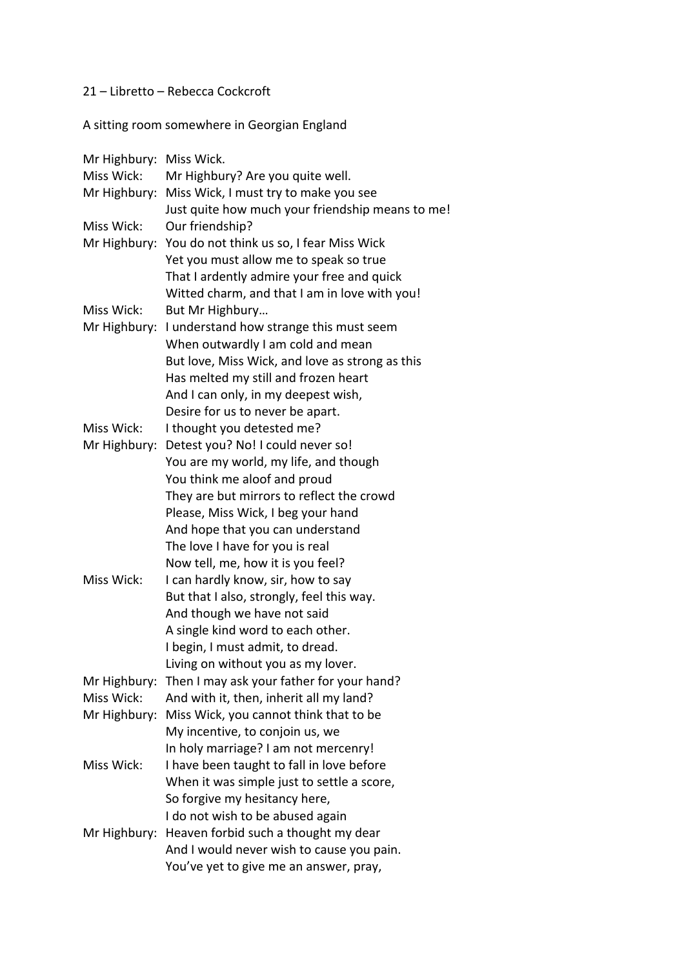## 21 – Libretto – Rebecca Cockcroft

A sitting room somewhere in Georgian England

| Mr Highbury: Miss Wick. |                                                       |
|-------------------------|-------------------------------------------------------|
| Miss Wick:              | Mr Highbury? Are you quite well.                      |
|                         | Mr Highbury: Miss Wick, I must try to make you see    |
|                         | Just quite how much your friendship means to me!      |
| Miss Wick:              | Our friendship?                                       |
|                         | Mr Highbury: You do not think us so, I fear Miss Wick |
|                         | Yet you must allow me to speak so true                |
|                         | That I ardently admire your free and quick            |
|                         | Witted charm, and that I am in love with you!         |
| Miss Wick:              | But Mr Highbury                                       |
| Mr Highbury:            | I understand how strange this must seem               |
|                         | When outwardly I am cold and mean                     |
|                         | But love, Miss Wick, and love as strong as this       |
|                         | Has melted my still and frozen heart                  |
|                         | And I can only, in my deepest wish,                   |
|                         | Desire for us to never be apart.                      |
| Miss Wick:              | I thought you detested me?                            |
| Mr Highbury:            | Detest you? No! I could never so!                     |
|                         | You are my world, my life, and though                 |
|                         | You think me aloof and proud                          |
|                         | They are but mirrors to reflect the crowd             |
|                         | Please, Miss Wick, I beg your hand                    |
|                         | And hope that you can understand                      |
|                         | The love I have for you is real                       |
|                         | Now tell, me, how it is you feel?                     |
| Miss Wick:              | I can hardly know, sir, how to say                    |
|                         | But that I also, strongly, feel this way.             |
|                         | And though we have not said                           |
|                         | A single kind word to each other.                     |
|                         | I begin, I must admit, to dread.                      |
|                         | Living on without you as my lover.                    |
| Mr Highbury:            | Then I may ask your father for your hand?             |
| Miss Wick:              | And with it, then, inherit all my land?               |
| Mr Highbury:            | Miss Wick, you cannot think that to be                |
|                         | My incentive, to conjoin us, we                       |
|                         | In holy marriage? I am not mercenry!                  |
| Miss Wick:              | I have been taught to fall in love before             |
|                         | When it was simple just to settle a score,            |
|                         |                                                       |
|                         | So forgive my hesitancy here,                         |
|                         | I do not wish to be abused again                      |
|                         | Mr Highbury: Heaven forbid such a thought my dear     |
|                         | And I would never wish to cause you pain.             |
|                         | You've yet to give me an answer, pray,                |